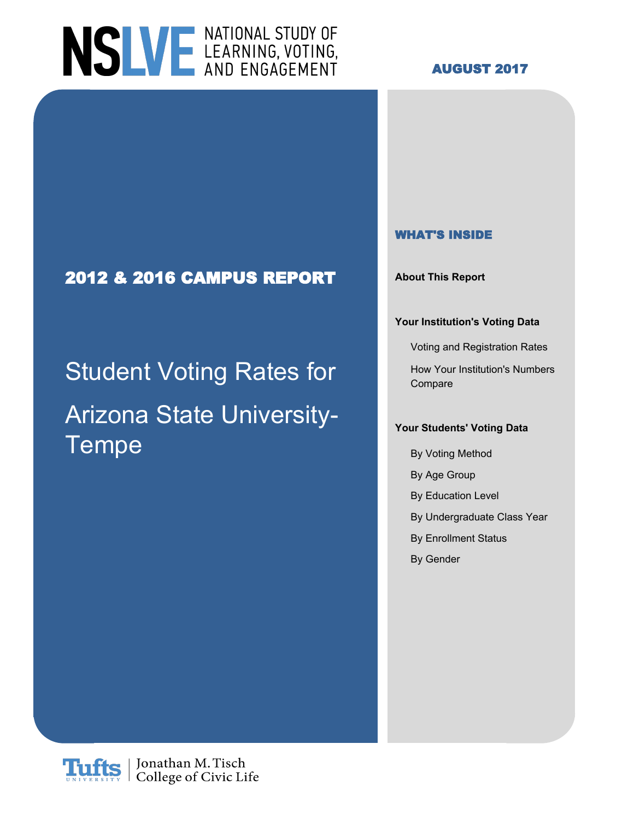

Arizona State University-

Tempe

### **AUGUST 2017**

### **WHAT'S INSIDE**

**2012 & 2016 CAMPUS REPORT About This Report**

#### **Your Institution's Voting Data**

Voting and Registration Rates

Student Voting Rates for How Your Institution's Numbers Compare

#### **Your Students' Voting Data**

- By Voting Method
- By Age Group
- By Education Level
- By Undergraduate Class Year
- By Enrollment Status
- By Gender

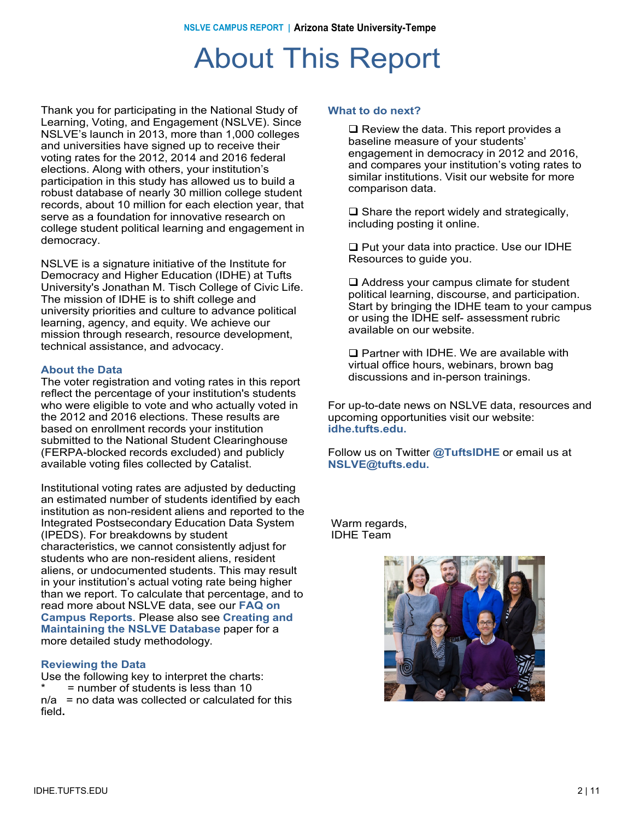**NSLVE CAMPUS REPORT | Arizona State University-Tempe**

### About This Report

Thank you for participating in the National Study of Learning, Voting, and Engagement (NSLVE). Since NSLVE's launch in 2013, more than 1,000 colleges and universities have signed up to receive their voting rates for the 2012, 2014 and 2016 federal elections. Along with others, your institution's participation in this study has allowed us to build a robust database of nearly 30 million college student records, about 10 million for each election year, that serve as a foundation for innovative research on college student political learning and engagement in democracy.

NSLVE is a signature initiative of the Institute for Democracy and Higher Education (IDHE) at Tufts University's Jonathan M. Tisch College of Civic Life. The mission of IDHE is to shift college and university priorities and culture to advance political learning, agency, and equity. We achieve our mission through research, resource development, technical assistance, and advocacy.

#### **About the Data**

The voter registration and voting rates in this report reflect the percentage of your institution's students who were eligible to vote and who actually voted in the 2012 and 2016 elections. These results are based on enrollment records your institution submitted to the National Student Clearinghouse (FERPA-blocked records excluded) and publicly available voting files collected by Catalist.

Institutional voting rates are adjusted by deducting an estimated number of students identified by each institution as non-resident aliens and reported to the Integrated Postsecondary Education Data System (IPEDS). For breakdowns by student characteristics, we cannot consistently adjust for students who are non-resident aliens, resident aliens, or undocumented students. This may result in your institution's actual voting rate being higher than we report. To calculate that percentage, and to read more about NSLVE data, see our **FAQ on Campus Reports**. Please also see **Creating and Maintaining the NSLVE Database** paper for a more detailed study methodology.

#### **Reviewing the Data**

Use the following key to interpret the charts:  $=$  number of students is less than 10  $n/a$  = no data was collected or calculated for this field**.**

#### **What to do next?**

 $\Box$  Review the data. This report provides a baseline measure of your students' engagement in democracy in 2012 and 2016, and compares your institution's voting rates to similar institutions. Visit our website for more comparison data.

 $\Box$  Share the report widely and strategically, including posting it online.

 $\Box$  Put your data into practice. Use our IDHE Resources to guide you.

 $\Box$  Address your campus climate for student political learning, discourse, and participation. Start by bringing the IDHE team to your campus or using the IDHE self- assessment rubric available on our website.

 $\square$  Partner with IDHE. We are available with virtual office hours, webinars, brown bag discussions and in-person trainings.

For up-to-date news on NSLVE data, resources and upcoming opportunities visit our website: **idhe.tufts.edu.**

Follow us on Twitter **@TuftsIDHE** or email us at **NSLVE@tufts.edu.**

Warm regards, IDHE Team

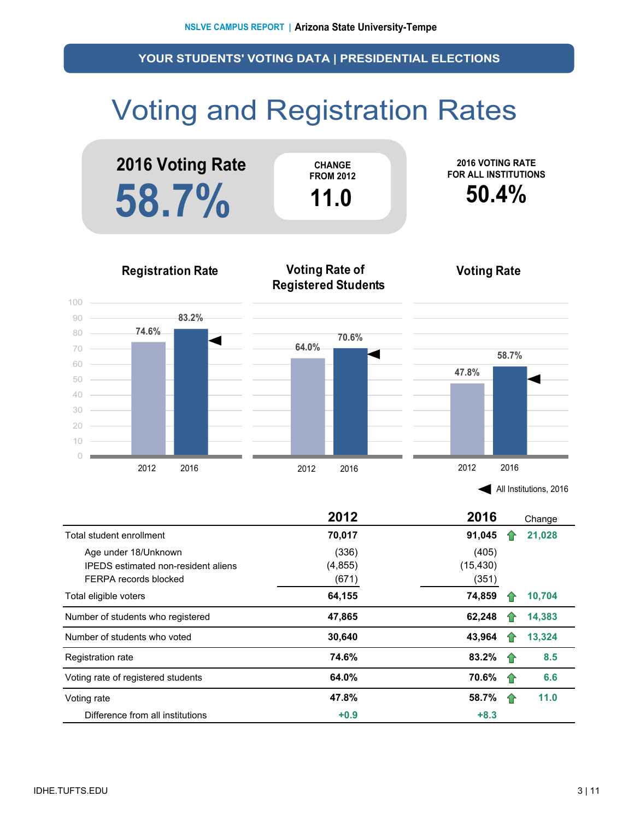# Voting and Registration Rates



|                                            | 2012     | 2016      |     | Change |
|--------------------------------------------|----------|-----------|-----|--------|
| Total student enrollment                   | 70,017   | 91,045    |     | 21,028 |
| Age under 18/Unknown                       | (336)    | (405)     |     |        |
| <b>IPEDS</b> estimated non-resident aliens | (4, 855) | (15, 430) |     |        |
| FERPA records blocked                      | (671)    | (351)     |     |        |
| Total eligible voters                      | 64,155   | 74,859    |     | 10,704 |
| Number of students who registered          | 47,865   | 62,248    |     | 14,383 |
| Number of students who voted               | 30,640   | 43,964    |     | 13,324 |
| Registration rate                          | 74.6%    | 83.2%     | -47 | 8.5    |
| Voting rate of registered students         | 64.0%    | 70.6%     | 1P  | 6.6    |
| Voting rate                                | 47.8%    | 58.7%     | 1P  | 11.0   |
| Difference from all institutions           | $+0.9$   | $+8.3$    |     |        |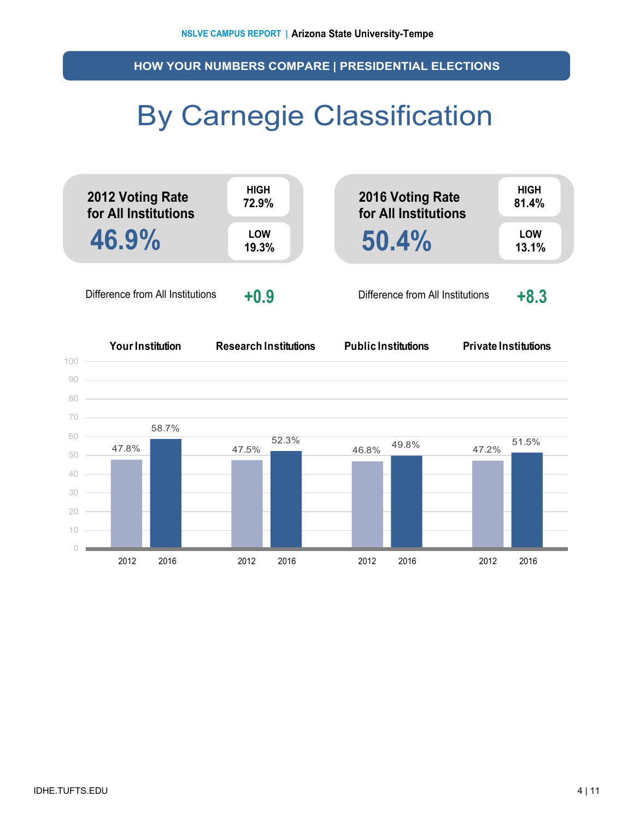**HOW YOUR NUMBERS COMPARE | PRESIDENTIAL ELECTIONS**

## By Carnegie Classification



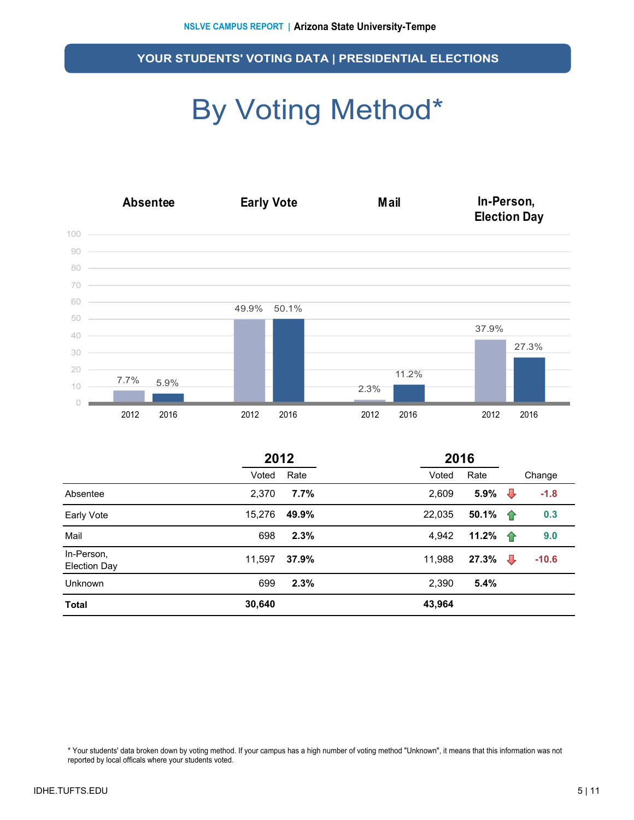# By Voting Method\*



|                                   | 2012   |       |        | 2016    |                |         |
|-----------------------------------|--------|-------|--------|---------|----------------|---------|
|                                   | Voted  | Rate  | Voted  | Rate    |                | Change  |
| Absentee                          | 2,370  | 7.7%  | 2,609  | 5.9%    | ⊕              | $-1.8$  |
| Early Vote                        | 15,276 | 49.9% | 22,035 | 50.1% 个 |                | 0.3     |
| Mail                              | 698    | 2.3%  | 4,942  | 11.2%   | ⇑              | 9.0     |
| In-Person,<br><b>Election Day</b> | 11,597 | 37.9% | 11,988 | 27.3%   | $\overline{v}$ | $-10.6$ |
| Unknown                           | 699    | 2.3%  | 2,390  | 5.4%    |                |         |
| <b>Total</b>                      | 30,640 |       | 43,964 |         |                |         |

\* Your students' data broken down by voting method. If your campus has a high number of voting method "Unknown", it means that this information was not reported by local officals where your students voted.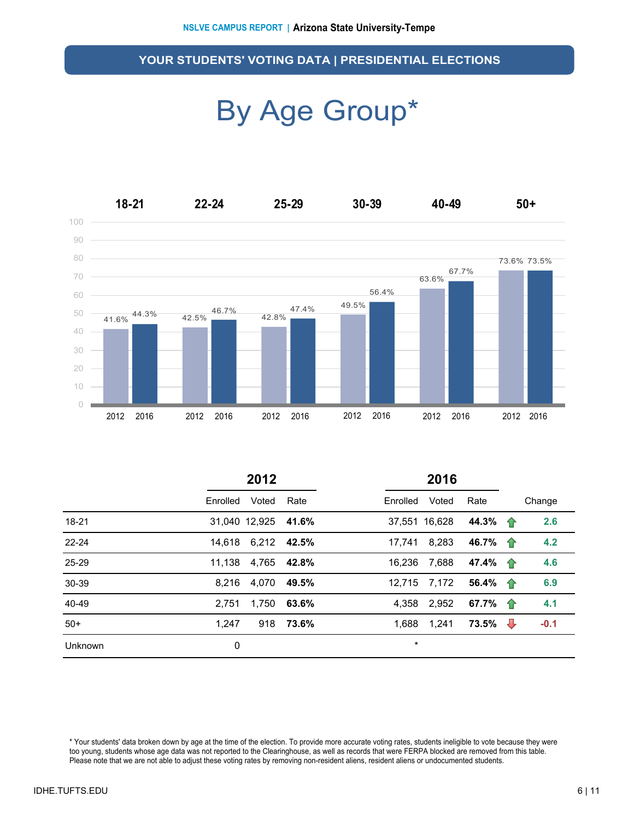### By Age Group\*



|           | 2012               |                | 2016     |               |                  |        |
|-----------|--------------------|----------------|----------|---------------|------------------|--------|
|           | Enrolled           | Voted<br>Rate  | Enrolled | Voted         | Rate             | Change |
| 18-21     | 31,040 12,925      | 41.6%          |          | 37,551 16,628 | 44.3% $\uparrow$ | 2.6    |
| $22 - 24$ | 14,618 6,212 42.5% |                | 17.741   | 8,283         | 46.7% 个          | 4.2    |
| 25-29     | 11,138 4,765       | 42.8%          | 16.236   | 7,688         | 47.4% $\uparrow$ | 4.6    |
| 30-39     | 8.216              | 4.070<br>49.5% |          | 12,715 7,172  | 56.4% 1          | 6.9    |
| 40-49     | 2.751              | 1,750<br>63.6% |          | 4,358 2,952   | 67.7% 1          | 4.1    |
| $50+$     | 1.247              | 918 73.6%      | 1,688    | 1,241         | $73.5\%$         | $-0.1$ |
| Unknown   | 0                  |                | $\star$  |               |                  |        |

\* Your students' data broken down by age at the time of the election. To provide more accurate voting rates, students ineligible to vote because they were too young, students whose age data was not reported to the Clearinghouse, as well as records that were FERPA blocked are removed from this table. Please note that we are not able to adjust these voting rates by removing non-resident aliens, resident aliens or undocumented students.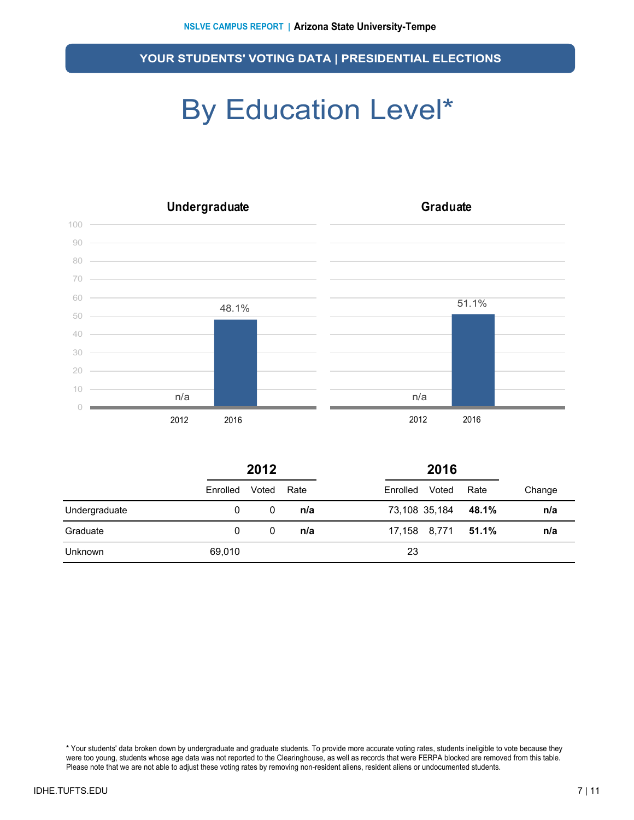## By Education Level\*



|                | 2012     |       |      | 2016                |                |
|----------------|----------|-------|------|---------------------|----------------|
|                | Enrolled | Voted | Rate | Voted<br>Enrolled   | Rate<br>Change |
| Undergraduate  | 0        | 0     | n/a  | 73,108 35,184 48.1% | n/a            |
| Graduate       | 0        | 0     | n/a  | 17,158 8,771 51.1%  | n/a            |
| <b>Unknown</b> | 69,010   |       |      | 23                  |                |

\* Your students' data broken down by undergraduate and graduate students. To provide more accurate voting rates, students ineligible to vote because they were too young, students whose age data was not reported to the Clearinghouse, as well as records that were FERPA blocked are removed from this table. Please note that we are not able to adjust these voting rates by removing non-resident aliens, resident aliens or undocumented students.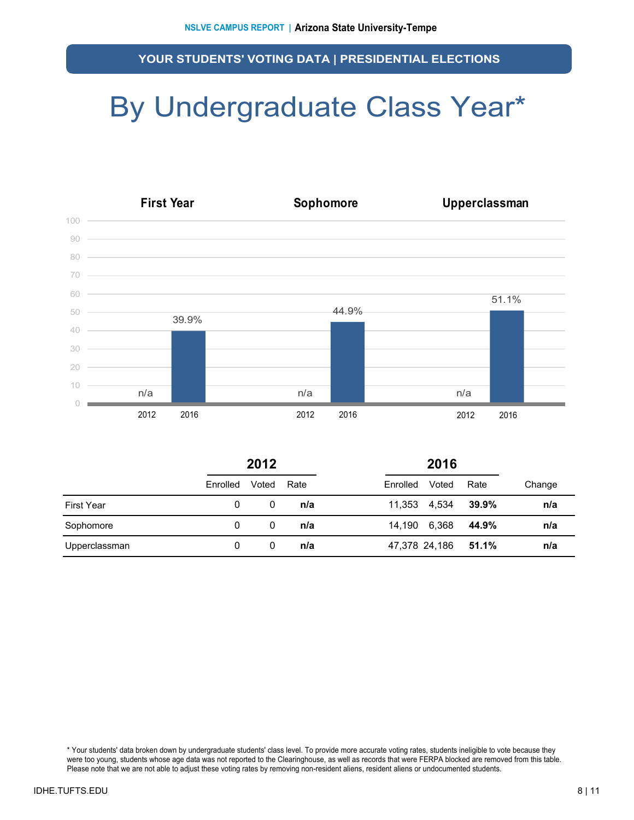## By Undergraduate Class Year\*



|                   | 2012     |       |      | 2016              |                |
|-------------------|----------|-------|------|-------------------|----------------|
|                   | Enrolled | Voted | Rate | Voted<br>Enrolled | Rate<br>Change |
| <b>First Year</b> | 0        | 0     | n/a  | 4,534<br>11,353   | 39.9%<br>n/a   |
| Sophomore         | 0        | 0     | n/a  | 6,368<br>14,190   | 44.9%<br>n/a   |
| Upperclassman     | 0        | 0     | n/a  | 47,378 24,186     | 51.1%<br>n/a   |

\* Your students' data broken down by undergraduate students' class level. To provide more accurate voting rates, students ineligible to vote because they were too young, students whose age data was not reported to the Clearinghouse, as well as records that were FERPA blocked are removed from this table. Please note that we are not able to adjust these voting rates by removing non-resident aliens, resident aliens or undocumented students.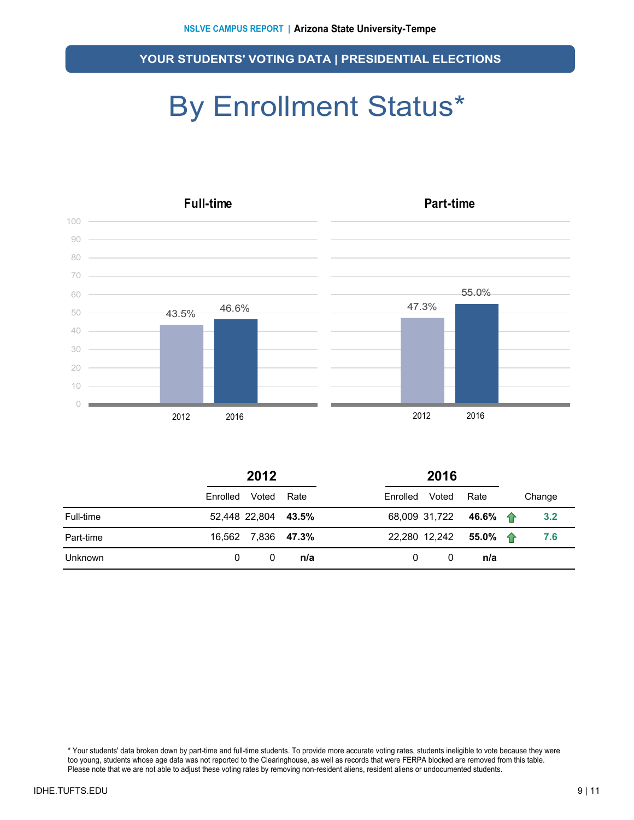# By Enrollment Status\*



|           | 2012     |                     | 2016 |          |       |                       |        |
|-----------|----------|---------------------|------|----------|-------|-----------------------|--------|
|           | Enrolled | Voted               | Rate | Enrolled | Voted | Rate                  | Change |
| Full-time |          | 52,448 22,804 43.5% |      |          |       | 68,009 31,722 46.6% 个 | 3.2    |
| Part-time |          | 16,562 7,836 47.3%  |      |          |       | 22,280 12,242 55.0% 个 | 7.6    |
| Unknown   | 0        | 0                   | n/a  | 0        | 0     | n/a                   |        |

\* Your students' data broken down by part-time and full-time students. To provide more accurate voting rates, students ineligible to vote because they were too young, students whose age data was not reported to the Clearinghouse, as well as records that were FERPA blocked are removed from this table. Please note that we are not able to adjust these voting rates by removing non-resident aliens, resident aliens or undocumented students.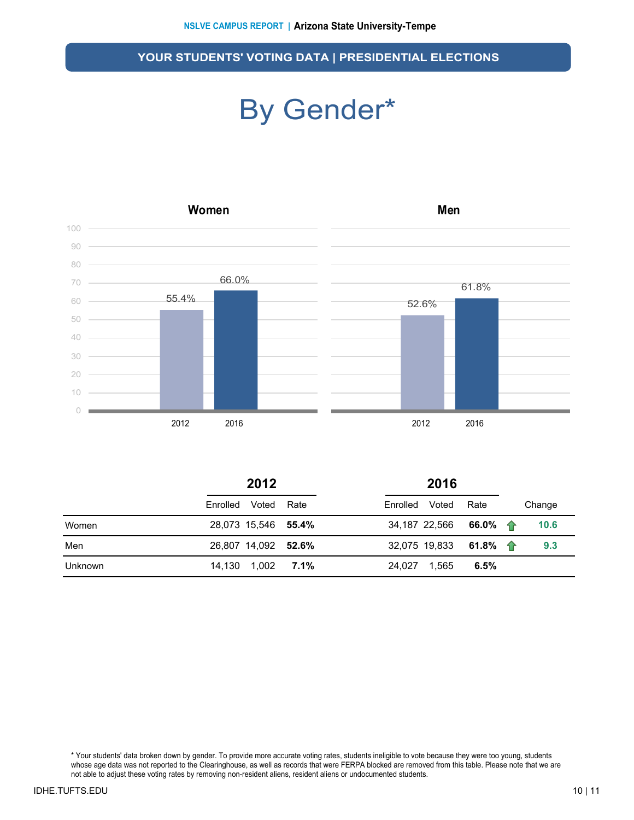## By Gender\*



| ×. |  |  |
|----|--|--|

|         | 2012                |      |               | 2016                     |        |  |
|---------|---------------------|------|---------------|--------------------------|--------|--|
|         | Voted<br>Enrolled   | Rate | Enrolled      | Voted<br>Rate            | Change |  |
| Women   | 28,073 15,546 55.4% |      | 34,187 22,566 | 66.0% $\, \, \hat{ } \,$ | 10.6   |  |
| Men     | 26,807 14,092 52.6% |      | 32,075 19,833 | 61.8% $\, \, \hat{ } \,$ | 9.3    |  |
| Unknown | 14,130 1,002        | 7.1% | 24,027        | 6.5%<br>1.565            |        |  |

\* Your students' data broken down by gender. To provide more accurate voting rates, students ineligible to vote because they were too young, students whose age data was not reported to the Clearinghouse, as well as records that were FERPA blocked are removed from this table. Please note that we are not able to adjust these voting rates by removing non-resident aliens, resident aliens or undocumented students.